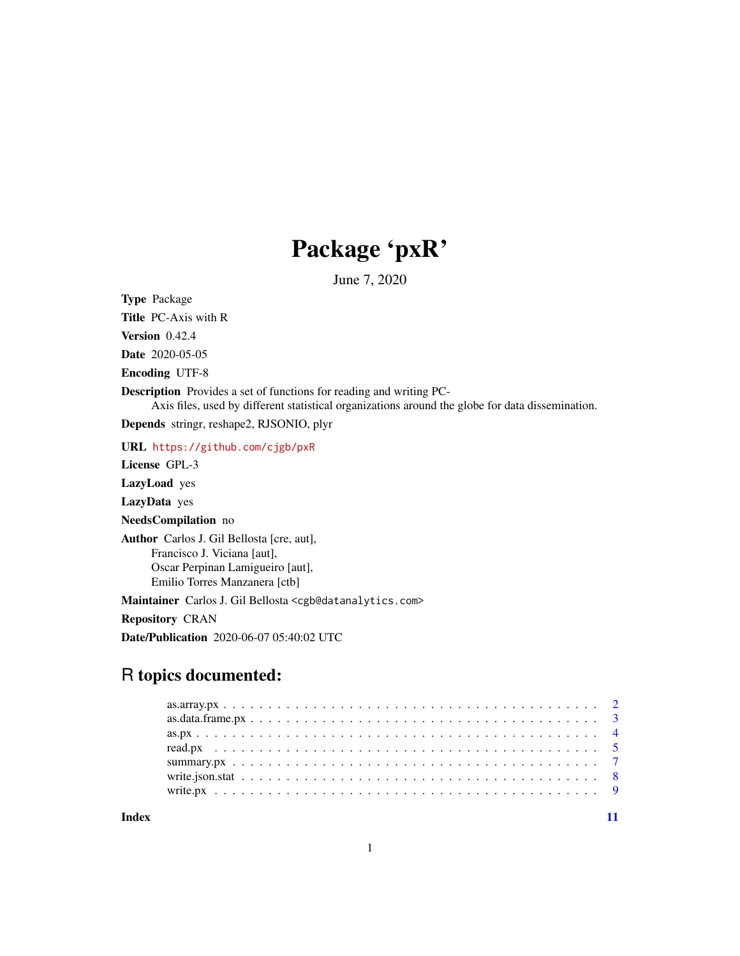## Package 'pxR'

June 7, 2020

<span id="page-0-0"></span>Type Package

Title PC-Axis with R

Version 0.42.4

Date 2020-05-05

Encoding UTF-8

Description Provides a set of functions for reading and writing PC-

Axis files, used by different statistical organizations around the globe for data dissemination.

Depends stringr, reshape2, RJSONIO, plyr

URL <https://github.com/cjgb/pxR>

License GPL-3

LazyLoad yes

LazyData yes

NeedsCompilation no

Author Carlos J. Gil Bellosta [cre, aut], Francisco J. Viciana [aut], Oscar Perpinan Lamigueiro [aut], Emilio Torres Manzanera [ctb]

Maintainer Carlos J. Gil Bellosta <cgb@datanalytics.com>

Repository CRAN

Date/Publication 2020-06-07 05:40:02 UTC

### R topics documented:

**Index** [11](#page-10-0)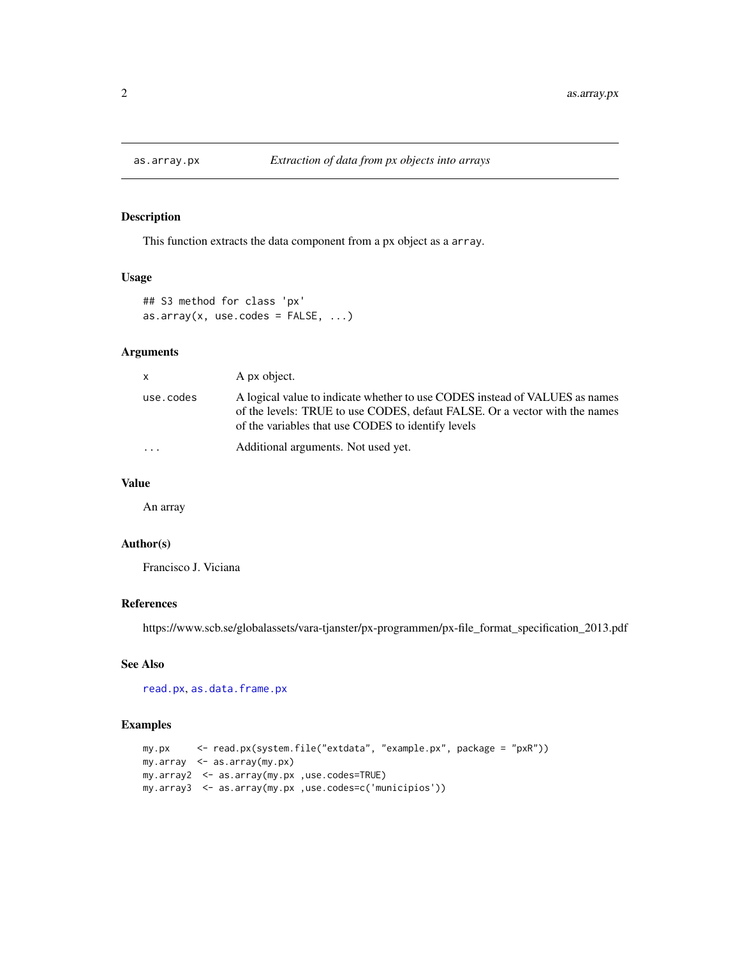<span id="page-1-1"></span><span id="page-1-0"></span>

#### Description

This function extracts the data component from a px object as a array.

#### Usage

```
## S3 method for class 'px'
as.array(x, use.codes = FALSE, ...)
```
#### Arguments

| $\times$  | A px object.                                                                                                                                                                                                    |
|-----------|-----------------------------------------------------------------------------------------------------------------------------------------------------------------------------------------------------------------|
| use.codes | A logical value to indicate whether to use CODES instead of VALUES as names<br>of the levels: TRUE to use CODES, defaut FALSE. Or a vector with the names<br>of the variables that use CODES to identify levels |
| .         | Additional arguments. Not used yet.                                                                                                                                                                             |

#### Value

An array

#### Author(s)

Francisco J. Viciana

#### References

https://www.scb.se/globalassets/vara-tjanster/px-programmen/px-file\_format\_specification\_2013.pdf

#### See Also

[read.px](#page-4-1), [as.data.frame.px](#page-2-1)

```
my.px <- read.px(system.file("extdata", "example.px", package = "pxR"))
my.array <- as.array(my.px)
my.array2 <- as.array(my.px ,use.codes=TRUE)
my.array3 <- as.array(my.px ,use.codes=c('municipios'))
```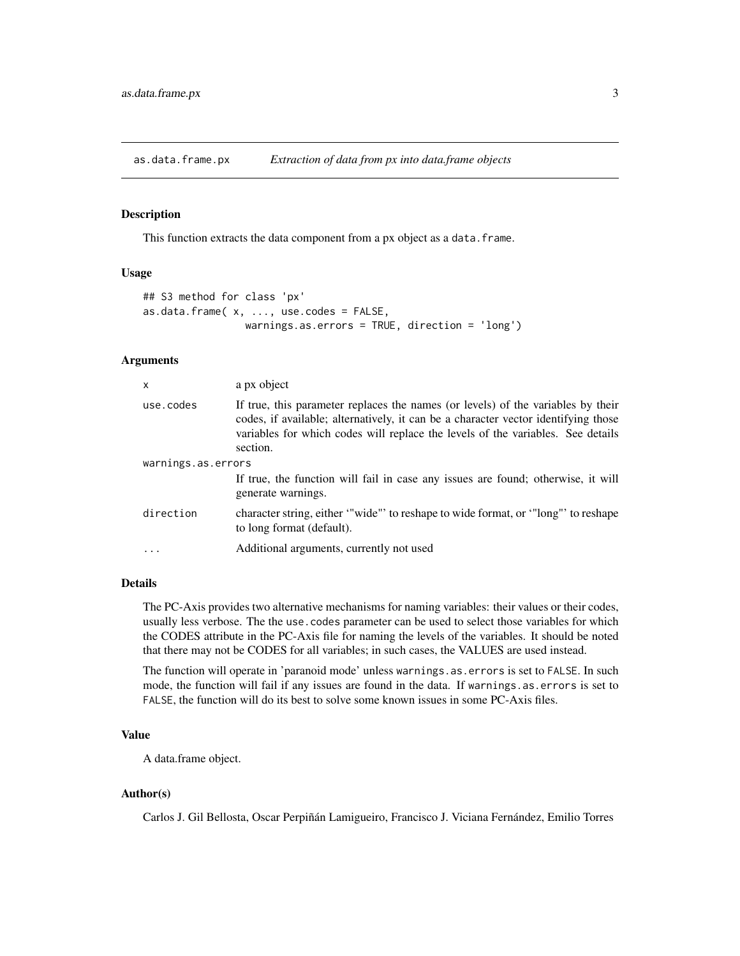<span id="page-2-1"></span><span id="page-2-0"></span>as.data.frame.px *Extraction of data from px into data.frame objects*

#### Description

This function extracts the data component from a px object as a data.frame.

#### Usage

```
## S3 method for class 'px'
as.data.frame(x, ...,use.codes = FALSE,
                warnings.as.errors = TRUE, direction = 'long')
```
#### Arguments

| use.codes<br>section.<br>warnings.as.errors<br>generate warnings.<br>direction<br>to long format (default).<br>Additional arguments, currently not used | $\times$ | a px object                                                                                                                                                                                                                                               |
|---------------------------------------------------------------------------------------------------------------------------------------------------------|----------|-----------------------------------------------------------------------------------------------------------------------------------------------------------------------------------------------------------------------------------------------------------|
|                                                                                                                                                         |          | If true, this parameter replaces the names (or levels) of the variables by their<br>codes, if available; alternatively, it can be a character vector identifying those<br>variables for which codes will replace the levels of the variables. See details |
|                                                                                                                                                         |          |                                                                                                                                                                                                                                                           |
|                                                                                                                                                         |          | If true, the function will fail in case any issues are found; otherwise, it will                                                                                                                                                                          |
|                                                                                                                                                         |          | character string, either "wide" to reshape to wide format, or "long" to reshape                                                                                                                                                                           |
|                                                                                                                                                         |          |                                                                                                                                                                                                                                                           |

#### Details

The PC-Axis provides two alternative mechanisms for naming variables: their values or their codes, usually less verbose. The the use.codes parameter can be used to select those variables for which the CODES attribute in the PC-Axis file for naming the levels of the variables. It should be noted that there may not be CODES for all variables; in such cases, the VALUES are used instead.

The function will operate in 'paranoid mode' unless warnings.as.errors is set to FALSE. In such mode, the function will fail if any issues are found in the data. If warnings.as.errors is set to FALSE, the function will do its best to solve some known issues in some PC-Axis files.

#### Value

A data.frame object.

#### Author(s)

Carlos J. Gil Bellosta, Oscar Perpiñán Lamigueiro, Francisco J. Viciana Fernández, Emilio Torres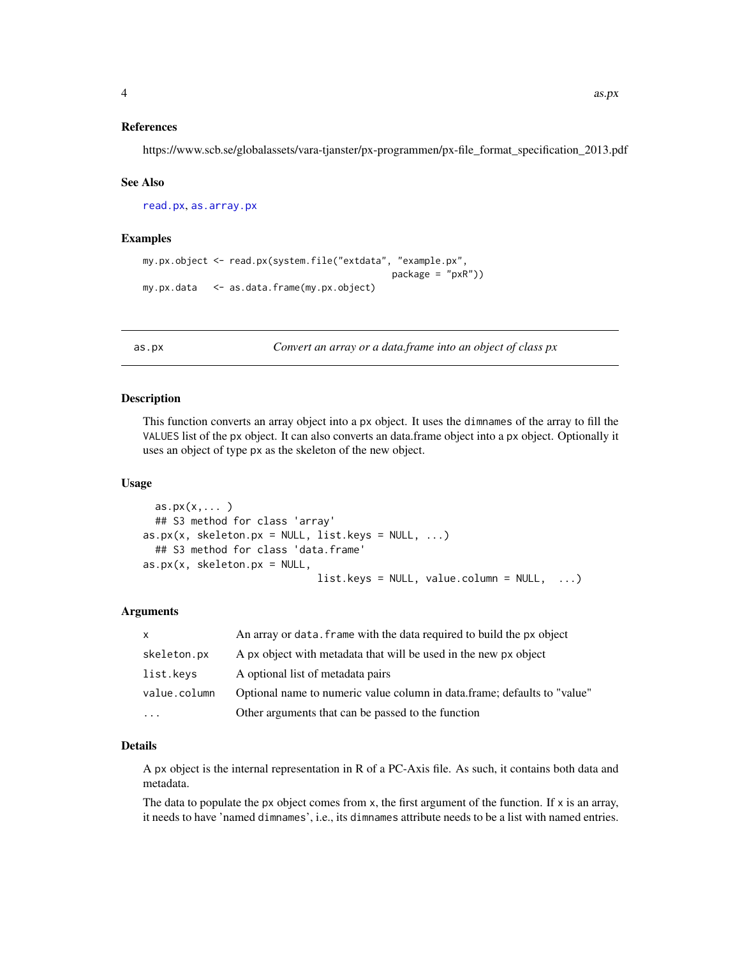#### <span id="page-3-0"></span>References

https://www.scb.se/globalassets/vara-tjanster/px-programmen/px-file\_format\_specification\_2013.pdf

#### See Also

[read.px](#page-4-1), [as.array.px](#page-1-1)

#### Examples

```
my.px.object <- read.px(system.file("extdata", "example.px",
                                              package = "pxR"))
my.px.data <- as.data.frame(my.px.object)
```
as.px *Convert an array or a data.frame into an object of class px*

#### Description

This function converts an array object into a px object. It uses the dimnames of the array to fill the VALUES list of the px object. It can also converts an data.frame object into a px object. Optionally it uses an object of type px as the skeleton of the new object.

#### Usage

```
as.py(x,...)## S3 method for class 'array'
as.px(x, skeleton.py = NULL, list.keys = NULL, ...)## S3 method for class 'data.frame'
as.py(x, skeleton.py = NULL,list.keys = NULL, value.colum = NULL, ...
```
#### Arguments

| $\mathsf{x}$         | An array or data. frame with the data required to build the px object    |
|----------------------|--------------------------------------------------------------------------|
| skeleton.px          | A px object with metadata that will be used in the new px object         |
| list.keys            | A optional list of metadata pairs                                        |
| value.column         | Optional name to numeric value column in data.frame; defaults to "value" |
| $\ddot{\phantom{0}}$ | Other arguments that can be passed to the function                       |

#### Details

A px object is the internal representation in R of a PC-Axis file. As such, it contains both data and metadata.

The data to populate the px object comes from  $x$ , the first argument of the function. If  $x$  is an array, it needs to have 'named dimnames', i.e., its dimnames attribute needs to be a list with named entries.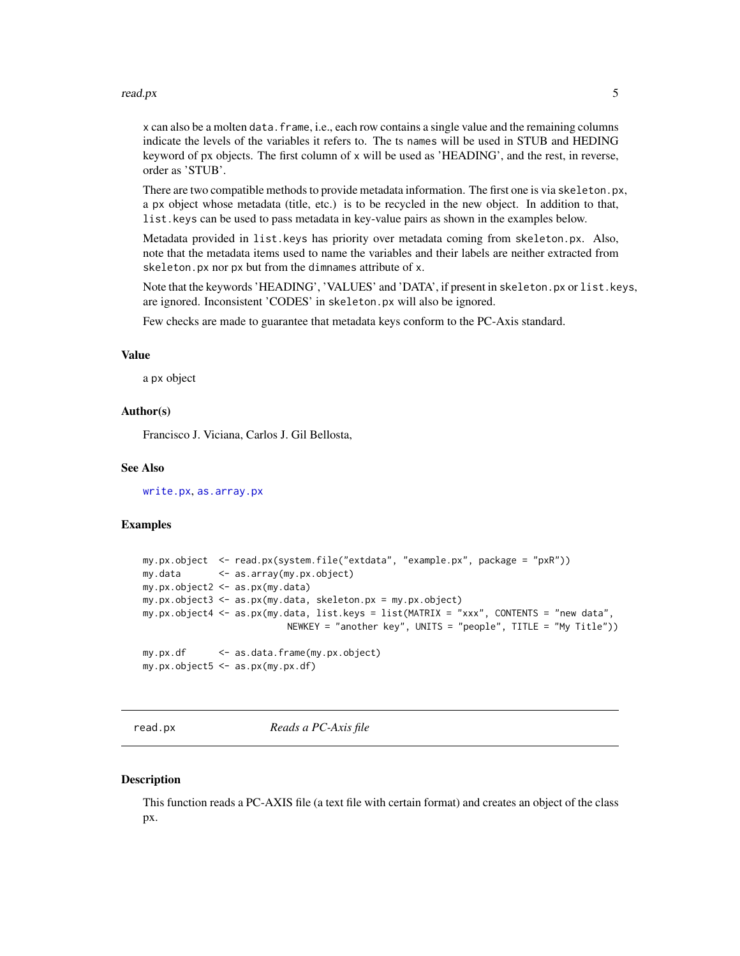#### <span id="page-4-0"></span>read.px 5

x can also be a molten data.frame, i.e., each row contains a single value and the remaining columns indicate the levels of the variables it refers to. The ts names will be used in STUB and HEDING keyword of px objects. The first column of x will be used as 'HEADING', and the rest, in reverse, order as 'STUB'.

There are two compatible methods to provide metadata information. The first one is via skeleton.px, a px object whose metadata (title, etc.) is to be recycled in the new object. In addition to that, list.keys can be used to pass metadata in key-value pairs as shown in the examples below.

Metadata provided in list.keys has priority over metadata coming from skeleton.px. Also, note that the metadata items used to name the variables and their labels are neither extracted from skeleton.px nor px but from the dimnames attribute of x.

Note that the keywords 'HEADING', 'VALUES' and 'DATA', if present in skeleton.px or list.keys, are ignored. Inconsistent 'CODES' in skeleton.px will also be ignored.

Few checks are made to guarantee that metadata keys conform to the PC-Axis standard.

#### Value

a px object

#### Author(s)

Francisco J. Viciana, Carlos J. Gil Bellosta,

#### See Also

[write.px](#page-8-1), [as.array.px](#page-1-1)

#### Examples

```
my.px.object <- read.px(system.file("extdata", "example.px", package = "pxR"))
my.data <- as.array(my.px.object)
my.px.object2 <- as.px(my.data)
my.px.object3 <- as.px(my.data, skeleton.px = my.px.object)
my.px.object4 <- as.px(my.data, list.keys = list(MATRIX = "xxx", CONTENTS = "new data",
                          NEWKEY = "another key", UNITS = "people", TITLE = "My Title"))
my.px.df <- as.data.frame(my.px.object)
my.px.object5 <- as.px(my.px.df)
```
<span id="page-4-1"></span>

read.px *Reads a PC-Axis file*

#### **Description**

This function reads a PC-AXIS file (a text file with certain format) and creates an object of the class px.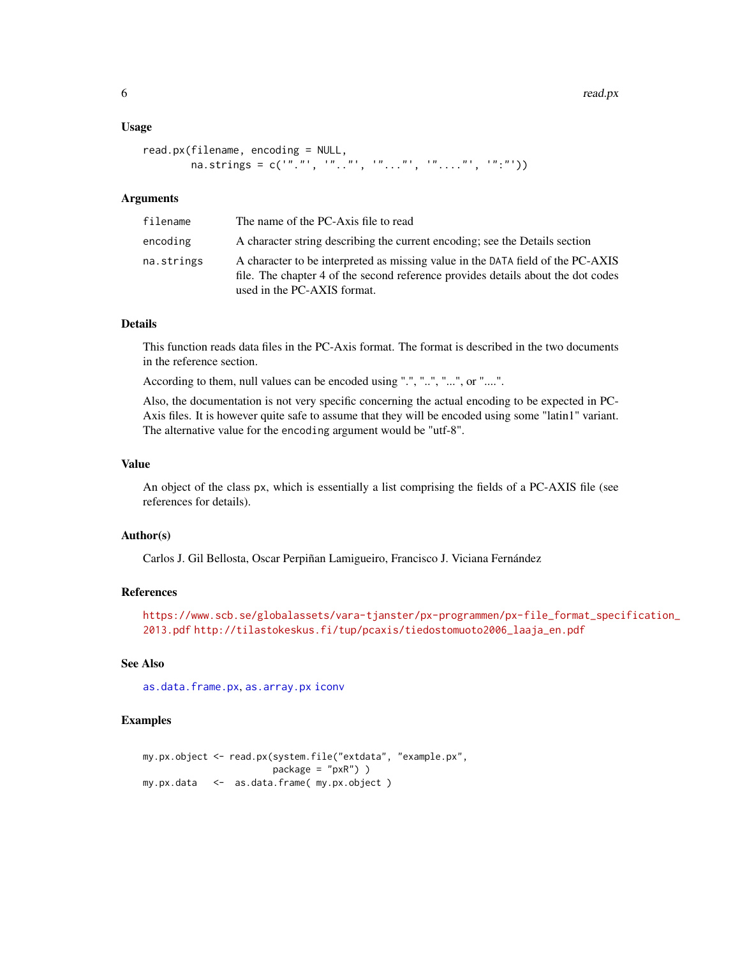#### <span id="page-5-0"></span>Usage

```
read.px(filename, encoding = NULL,
        na.strings = c("".". , "...", "...", "...", "...", "...", "":"))
```
#### **Arguments**

| filename   | The name of the PC-Axis file to read                                                                                                                                                               |
|------------|----------------------------------------------------------------------------------------------------------------------------------------------------------------------------------------------------|
| encoding   | A character string describing the current encoding; see the Details section                                                                                                                        |
| na.strings | A character to be interpreted as missing value in the DATA field of the PC-AXIS<br>file. The chapter 4 of the second reference provides details about the dot codes<br>used in the PC-AXIS format. |

#### Details

This function reads data files in the PC-Axis format. The format is described in the two documents in the reference section.

According to them, null values can be encoded using ".", "..", "...", or "....".

Also, the documentation is not very specific concerning the actual encoding to be expected in PC-Axis files. It is however quite safe to assume that they will be encoded using some "latin1" variant. The alternative value for the encoding argument would be "utf-8".

#### Value

An object of the class px, which is essentially a list comprising the fields of a PC-AXIS file (see references for details).

#### Author(s)

Carlos J. Gil Bellosta, Oscar Perpiñan Lamigueiro, Francisco J. Viciana Fernández

#### References

[https://www.scb.se/globalassets/vara-tjanster/px-programmen/px-file\\_format\\_spec](https://www.scb.se/globalassets/vara-tjanster/px-programmen/px-file_format_specification_2013.pdf)ification\_ [2013.pdf](https://www.scb.se/globalassets/vara-tjanster/px-programmen/px-file_format_specification_2013.pdf) [http://tilastokeskus.fi/tup/pcaxis/tiedostomuoto2006\\_laaja\\_en.pdf](http://tilastokeskus.fi/tup/pcaxis/tiedostomuoto2006_laaja_en.pdf)

#### See Also

[as.data.frame.px](#page-2-1), [as.array.px](#page-1-1) [iconv](#page-0-0)

```
my.px.object <- read.px(system.file("extdata", "example.px",
                       package = "pxR") )
my.px.data <- as.data.frame( my.px.object )
```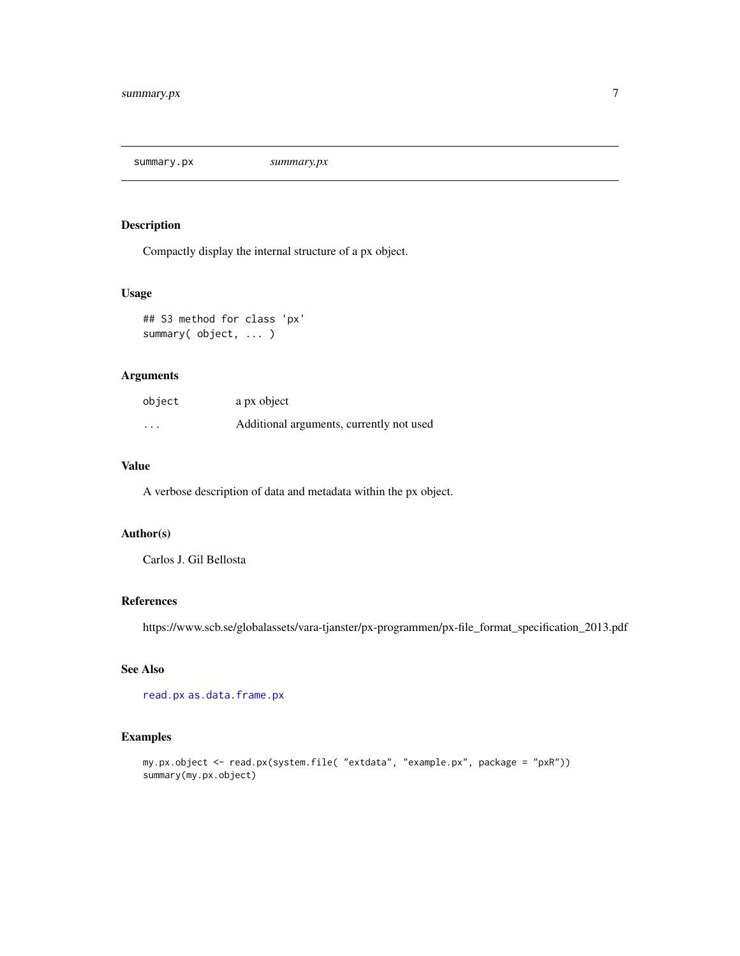<span id="page-6-0"></span>summary.px *summary.px*

#### Description

Compactly display the internal structure of a px object.

#### Usage

```
## S3 method for class 'px'
summary( object, ... )
```
#### Arguments

| object   | a px object                              |
|----------|------------------------------------------|
| $\cdots$ | Additional arguments, currently not used |

#### Value

A verbose description of data and metadata within the px object.

#### Author(s)

Carlos J. Gil Bellosta

#### References

https://www.scb.se/globalassets/vara-tjanster/px-programmen/px-file\_format\_specification\_2013.pdf

#### See Also

[read.px](#page-4-1) [as.data.frame.px](#page-2-1)

```
my.px.object <- read.px(system.file( "extdata", "example.px", package = "pxR"))
summary(my.px.object)
```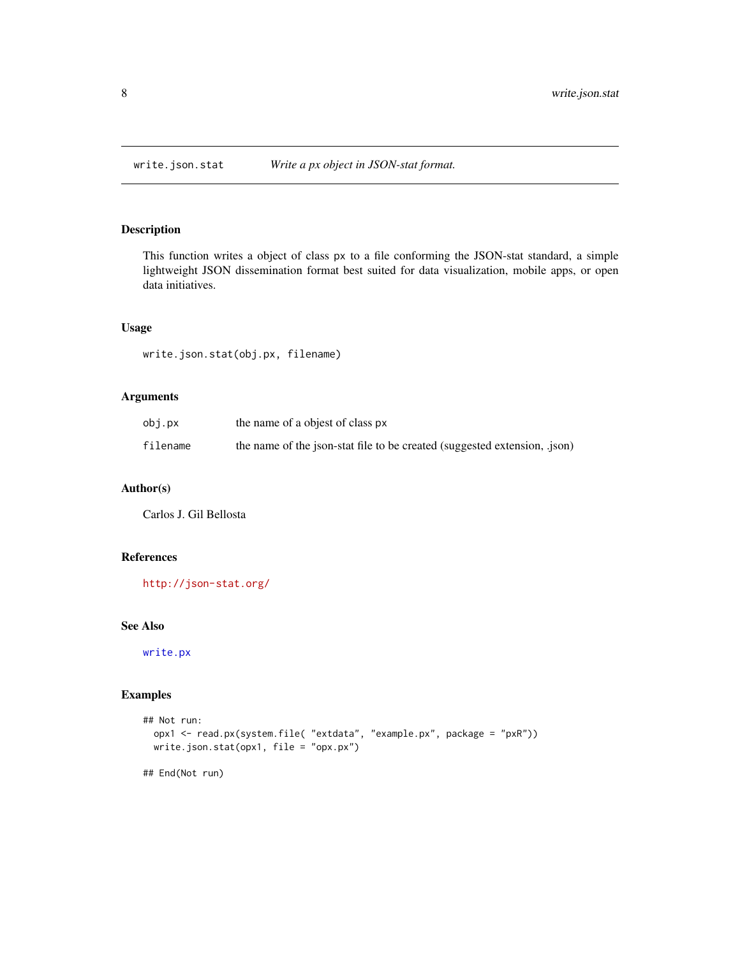<span id="page-7-0"></span>

#### Description

This function writes a object of class px to a file conforming the JSON-stat standard, a simple lightweight JSON dissemination format best suited for data visualization, mobile apps, or open data initiatives.

#### Usage

write.json.stat(obj.px, filename)

#### Arguments

| obi.px   | the name of a objest of class px                                          |
|----------|---------------------------------------------------------------------------|
| filename | the name of the json-stat file to be created (suggested extension, .json) |

#### Author(s)

Carlos J. Gil Bellosta

#### References

<http://json-stat.org/>

#### See Also

[write.px](#page-8-1)

```
## Not run:
 opx1 <- read.px(system.file( "extdata", "example.px", package = "pxR"))
 write.json.stat(opx1, file = "opx.px")
## End(Not run)
```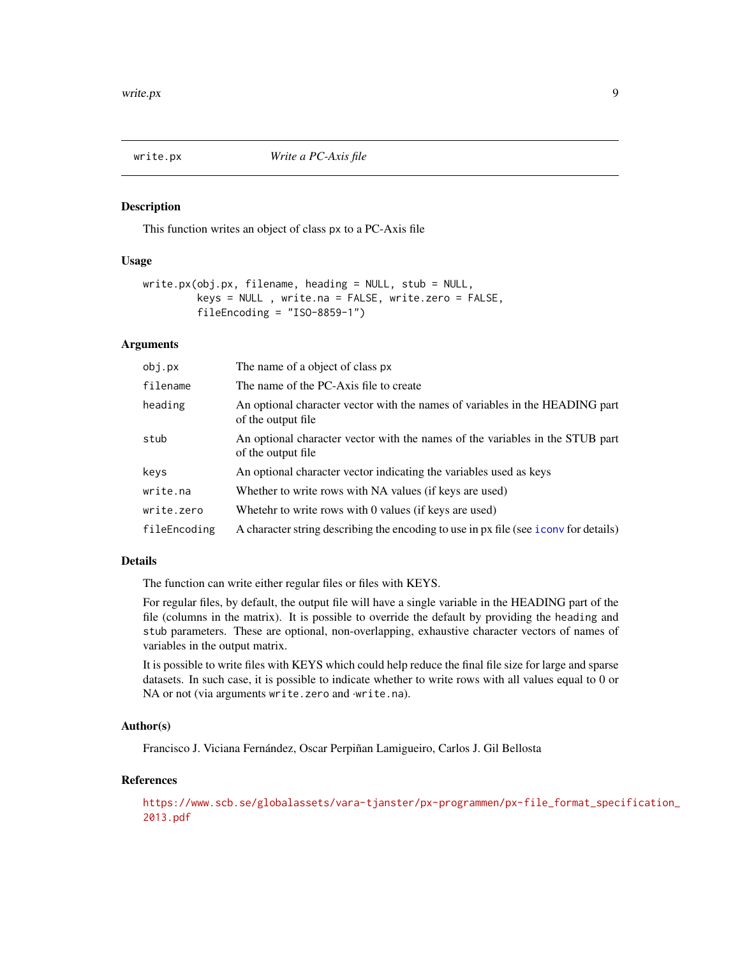<span id="page-8-1"></span><span id="page-8-0"></span>

#### Description

This function writes an object of class px to a PC-Axis file

#### Usage

```
write.px(obj.px, filename, heading = NULL, stub = NULL,
         keys = NULL , write.na = FALSE, write.zero = FALSE,
         fileEncoding = "ISO-8859-1")
```
#### Arguments

| obj.px       | The name of a object of class px                                                                    |
|--------------|-----------------------------------------------------------------------------------------------------|
| filename     | The name of the PC-Axis file to create                                                              |
| heading      | An optional character vector with the names of variables in the HEADING part<br>of the output file  |
| stub         | An optional character vector with the names of the variables in the STUB part<br>of the output file |
| keys         | An optional character vector indicating the variables used as keys                                  |
| write.na     | Whether to write rows with NA values (if keys are used)                                             |
| write.zero   | Whetehr to write rows with 0 values (if keys are used)                                              |
| fileEncoding | A character string describing the encoding to use in px file (see i conv for details)               |

#### Details

The function can write either regular files or files with KEYS.

For regular files, by default, the output file will have a single variable in the HEADING part of the file (columns in the matrix). It is possible to override the default by providing the heading and stub parameters. These are optional, non-overlapping, exhaustive character vectors of names of variables in the output matrix.

It is possible to write files with KEYS which could help reduce the final file size for large and sparse datasets. In such case, it is possible to indicate whether to write rows with all values equal to 0 or NA or not (via arguments write.zero and ·write.na).

#### Author(s)

Francisco J. Viciana Fernández, Oscar Perpiñan Lamigueiro, Carlos J. Gil Bellosta

#### References

[https://www.scb.se/globalassets/vara-tjanster/px-programmen/px-file\\_format\\_spec](https://www.scb.se/globalassets/vara-tjanster/px-programmen/px-file_format_specification_2013.pdf)ification\_ [2013.pdf](https://www.scb.se/globalassets/vara-tjanster/px-programmen/px-file_format_specification_2013.pdf)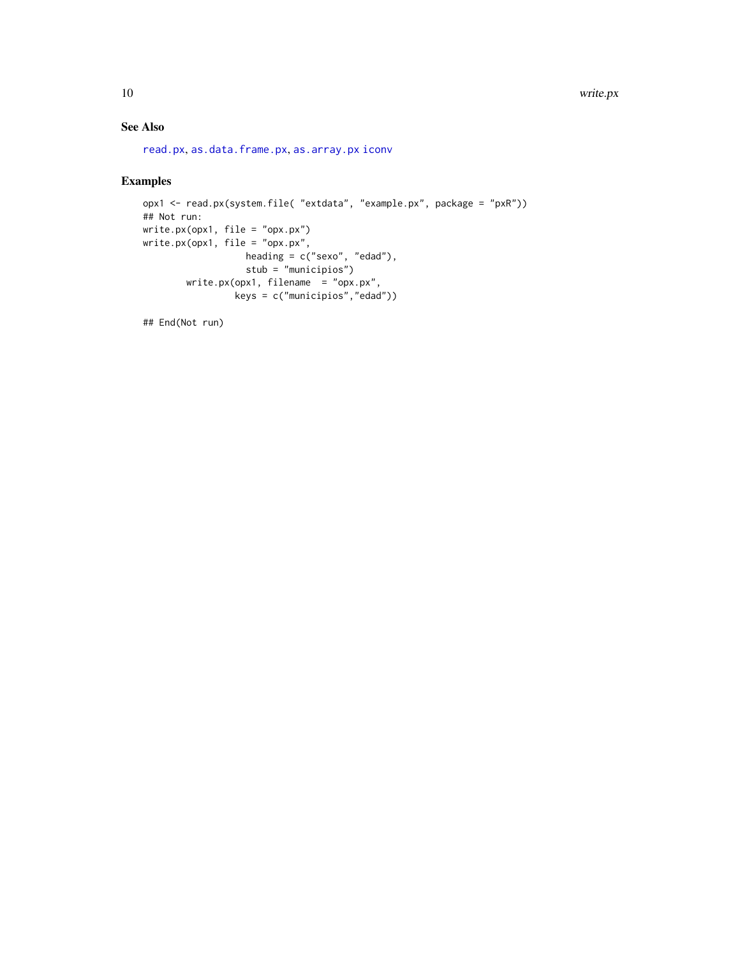#### <span id="page-9-0"></span>See Also

```
read.px, as.data.frame.px, as.array.px iconv
```
#### Examples

```
opx1 <- read.px(system.file( "extdata", "example.px", package = "pxR"))
## Not run:
write.px(opx1, file = "opx.px")
write.px(opx1, file = "opx.px",
                  heading = c("sexo", "edad"),
                  stub = "municipios")
        write.px(opx1, filename = "opx.px",
                 keys = c("municipios","edad"))
```
## End(Not run)